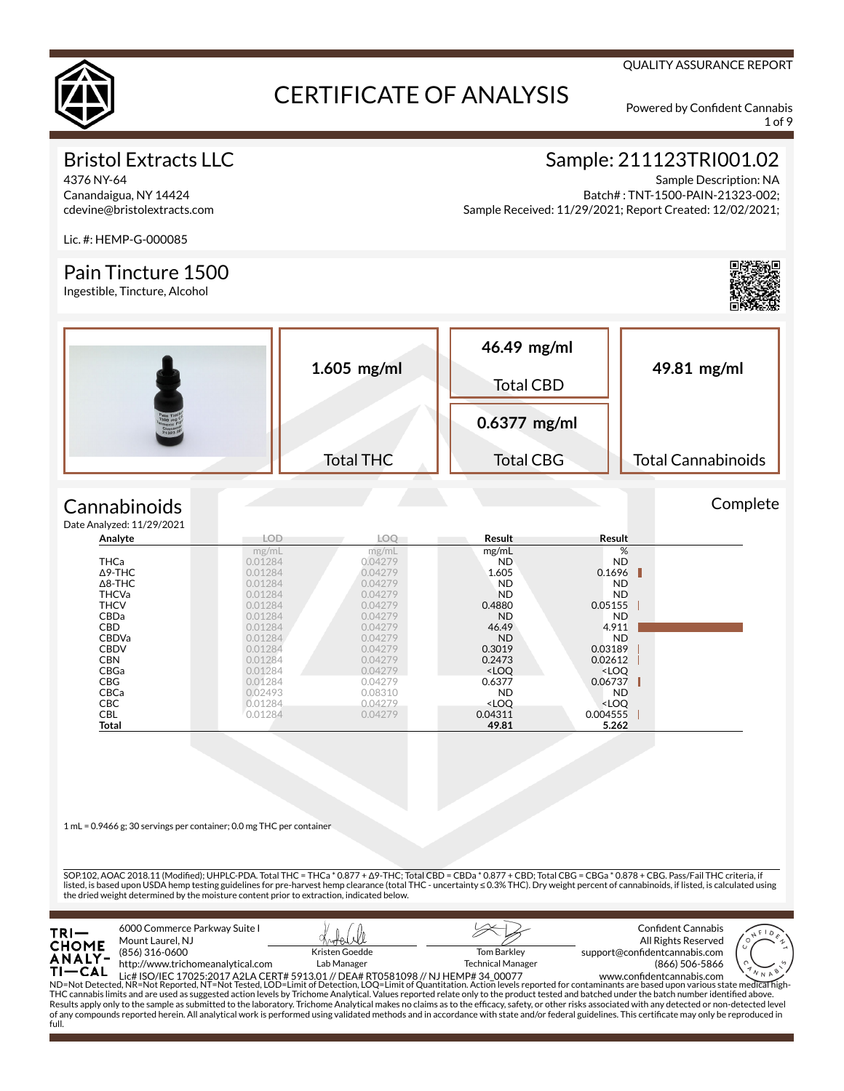

1 of 9

Complete

QUALITY ASSURANCE REPORT

## Bristol Extracts LLC

4376 NY-64 Canandaigua, NY 14424 cdevine@bristolextracts.com

## Sample: 211123TRI001.02

Sample Description: NA Batch# : TNT-1500-PAIN-21323-002; Sample Received: 11/29/2021; Report Created: 12/02/2021;

Lic. #: HEMP-G-000085

### Pain Tincture 1500

Ingestible, Tincture, Alcohol



#### **Cannabinoids**  $Data$

| e Analyzed: 11/29/2021 |            |         |                                                          |                              |  |
|------------------------|------------|---------|----------------------------------------------------------|------------------------------|--|
| Analyte                | <b>LOD</b> | LOO     | Result                                                   | Result                       |  |
|                        | mg/mL      | mg/mL   | mg/mL                                                    | %                            |  |
| <b>THCa</b>            | 0.01284    | 0.04279 | ND.                                                      | ND.                          |  |
| $\Delta$ 9-THC         | 0.01284    | 0.04279 | 1.605                                                    | 0.1696                       |  |
| $\Delta$ 8-THC         | 0.01284    | 0.04279 | <b>ND</b>                                                | ND.                          |  |
| <b>THCVa</b>           | 0.01284    | 0.04279 | <b>ND</b>                                                | <b>ND</b>                    |  |
| <b>THCV</b>            | 0.01284    | 0.04279 | 0.4880                                                   | 0.05155                      |  |
| <b>CBDa</b>            | 0.01284    | 0.04279 | <b>ND</b>                                                | ND.                          |  |
| <b>CBD</b>             | 0.01284    | 0.04279 | 46.49                                                    | 4.911                        |  |
| <b>CBDVa</b>           | 0.01284    | 0.04279 | <b>ND</b>                                                | <b>ND</b>                    |  |
| <b>CBDV</b>            | 0.01284    | 0.04279 | 0.3019                                                   | 0.03189                      |  |
| <b>CBN</b>             | 0.01284    | 0.04279 | 0.2473                                                   | 0.02612                      |  |
| CBGa                   | 0.01284    | 0.04279 | <loo< td=""><td><loq< td=""><td></td></loq<></td></loo<> | <loq< td=""><td></td></loq<> |  |
| <b>CBG</b>             | 0.01284    | 0.04279 | 0.6377                                                   | 0.06737                      |  |
| <b>CBCa</b>            | 0.02493    | 0.08310 | ND.                                                      | ND.                          |  |
| <b>CBC</b>             | 0.01284    | 0.04279 | <loq< td=""><td><loq< td=""><td></td></loq<></td></loq<> | <loq< td=""><td></td></loq<> |  |
| CBL                    | 0.01284    | 0.04279 | 0.04311                                                  | 0.004555                     |  |
| Total                  |            |         | 49.81                                                    | 5.262                        |  |

1 mL = 0.9466 g; 30 servings per container; 0.0 mg THC per container

SOP.102, AOAC 2018.11 (Modied); UHPLC-PDA. Total THC = THCa \* 0.877 + Δ9-THC; Total CBD = CBDa \* 0.877 + CBD; Total CBG = CBGa \* 0.878 + CBG. Pass/Fail THC criteria, if listed, is based upon USDA hemp testing guidelines for pre-harvest hemp clearance (total THC - uncertainty ≤ 0.3% THC). Dry weight percent of cannabinoids, if listed, is calculated using the dried weight determined by the moisture content prior to extraction, indicated below.

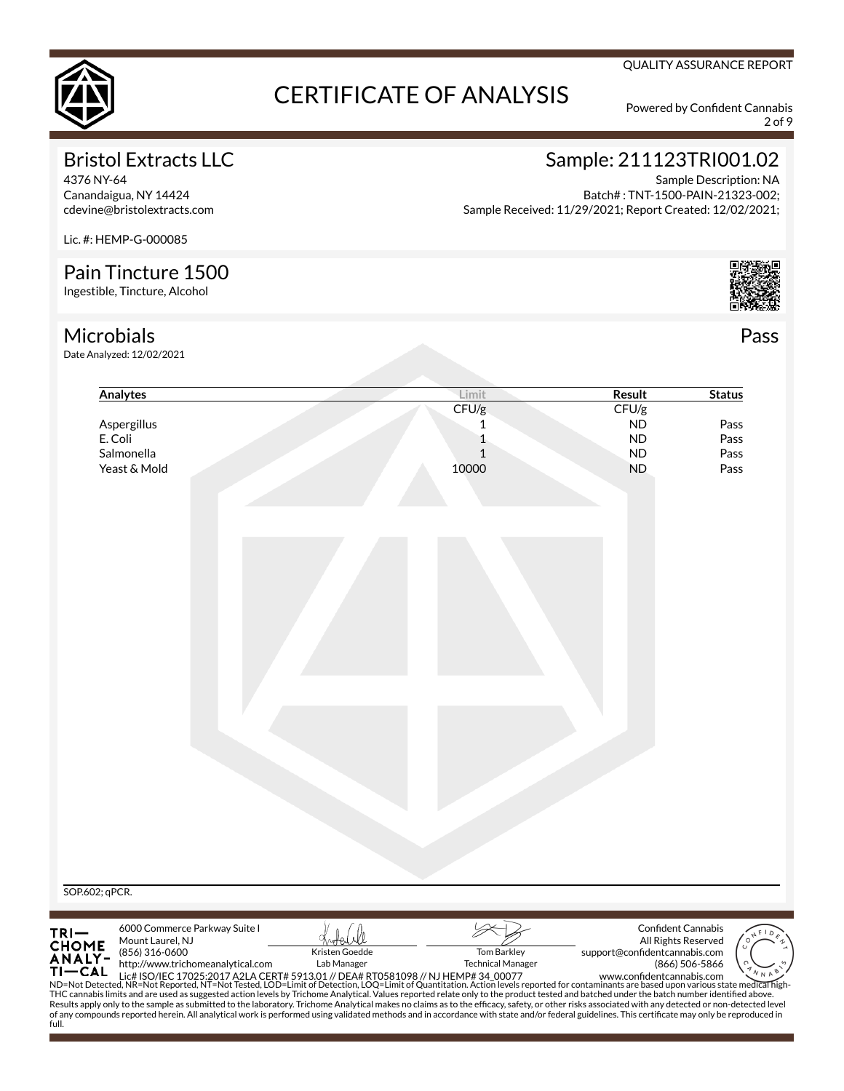

2 of 9

QUALITY ASSURANCE REPORT

## Bristol Extracts LLC

4376 NY-64 Canandaigua, NY 14424 cdevine@bristolextracts.com

## Sample: 211123TRI001.02

Sample Description: NA Batch# : TNT-1500-PAIN-21323-002; Sample Received: 11/29/2021; Report Created: 12/02/2021;

Lic. #: HEMP-G-000085

## Pain Tincture 1500

Ingestible, Tincture, Alcohol

### Microbials

Date Analyzed: 12/02/2021

| Analytes                                      | Limit                                                                                                                                                                                                                                                                                                                                                                                                                           | <b>Result</b>                 | <b>Status</b>             |
|-----------------------------------------------|---------------------------------------------------------------------------------------------------------------------------------------------------------------------------------------------------------------------------------------------------------------------------------------------------------------------------------------------------------------------------------------------------------------------------------|-------------------------------|---------------------------|
|                                               | CFU/g                                                                                                                                                                                                                                                                                                                                                                                                                           | CFU/g                         |                           |
| Aspergillus                                   | 1                                                                                                                                                                                                                                                                                                                                                                                                                               | ND                            | Pass                      |
| E. Coli                                       | $\mathbf{1}$                                                                                                                                                                                                                                                                                                                                                                                                                    | <b>ND</b>                     | Pass                      |
| Salmonella                                    | $\mathbf{1}$                                                                                                                                                                                                                                                                                                                                                                                                                    | <b>ND</b>                     | Pass                      |
| Yeast & Mold                                  | 10000                                                                                                                                                                                                                                                                                                                                                                                                                           | <b>ND</b>                     | Pass                      |
|                                               |                                                                                                                                                                                                                                                                                                                                                                                                                                 |                               |                           |
|                                               |                                                                                                                                                                                                                                                                                                                                                                                                                                 |                               |                           |
|                                               |                                                                                                                                                                                                                                                                                                                                                                                                                                 |                               |                           |
|                                               |                                                                                                                                                                                                                                                                                                                                                                                                                                 |                               |                           |
|                                               |                                                                                                                                                                                                                                                                                                                                                                                                                                 |                               |                           |
|                                               |                                                                                                                                                                                                                                                                                                                                                                                                                                 |                               |                           |
|                                               |                                                                                                                                                                                                                                                                                                                                                                                                                                 |                               |                           |
|                                               |                                                                                                                                                                                                                                                                                                                                                                                                                                 |                               |                           |
|                                               |                                                                                                                                                                                                                                                                                                                                                                                                                                 |                               |                           |
|                                               |                                                                                                                                                                                                                                                                                                                                                                                                                                 |                               |                           |
| SOP.602; qPCR.                                |                                                                                                                                                                                                                                                                                                                                                                                                                                 |                               |                           |
| 6000 Commerce Parkway Suite I                 |                                                                                                                                                                                                                                                                                                                                                                                                                                 |                               | <b>Confident Cannabis</b> |
| TRI-<br>CHOME<br>ANALY-<br>Mount Laurel, NJ   |                                                                                                                                                                                                                                                                                                                                                                                                                                 |                               | All Rights Reserved       |
| (856) 316-0600                                | Kristen Goedde<br><b>Tom Barkley</b>                                                                                                                                                                                                                                                                                                                                                                                            | support@confidentcannabis.com |                           |
| http://www.trichomeanalytical.com<br>$TI-CAL$ | Lab Manager<br><b>Technical Manager</b>                                                                                                                                                                                                                                                                                                                                                                                         |                               | (866) 506-5866            |
|                                               |                                                                                                                                                                                                                                                                                                                                                                                                                                 |                               |                           |
|                                               | 11 CAL Lic# ISO/IEC 17025:2017 A2LA CERT# 5913.01 // DEA# RT0581098 // NJ HEMP# 34 00077<br>ND=Not Detected, NR=Not Reported, NT=Not Tested, LOD=Limit of Detection, LOQ=Limit of Quantitation. Action levels reported for contam<br>THC cannabis limits and are used as suggested action levels by Trichome Analytical. Values reported relate only to the product tested and batched under the batch number identified above. |                               |                           |



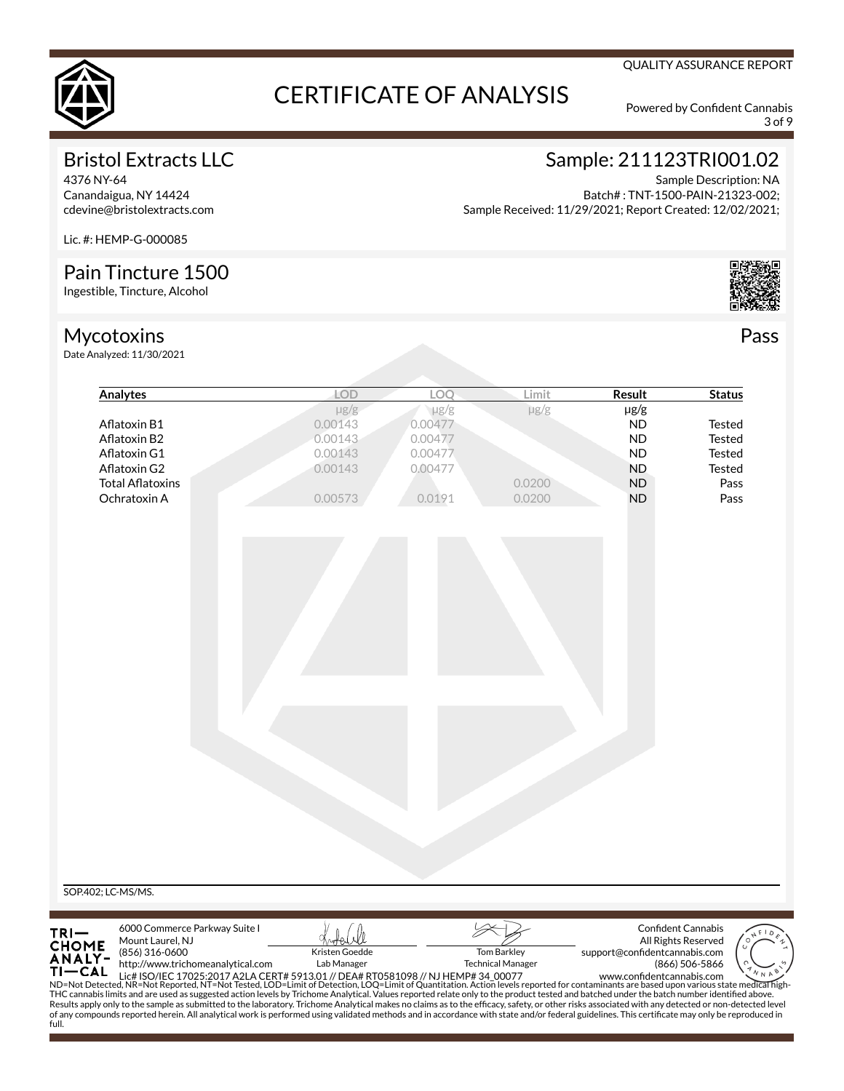

3 of 9

QUALITY ASSURANCE REPORT

## Bristol Extracts LLC

4376 NY-64 Canandaigua, NY 14424 cdevine@bristolextracts.com

#### Sample: 211123TRI001.02 Sample Description: NA

Batch# : TNT-1500-PAIN-21323-002; Sample Received: 11/29/2021; Report Created: 12/02/2021;

Lic. #: HEMP-G-000085

## Pain Tincture 1500

Ingestible, Tincture, Alcohol

## Mycotoxins

Date Analyzed: 11/30/2021



|                                     | Analytes                                                                                                                                                                                                                                                                                               | <b>LOD</b>                                                       | LOQ                                                        | Limit                                   | Result                                                                                  | <b>Status</b>                                                                                                                                                                                                                                                                                                                                                                                                                                                                                              |
|-------------------------------------|--------------------------------------------------------------------------------------------------------------------------------------------------------------------------------------------------------------------------------------------------------------------------------------------------------|------------------------------------------------------------------|------------------------------------------------------------|-----------------------------------------|-----------------------------------------------------------------------------------------|------------------------------------------------------------------------------------------------------------------------------------------------------------------------------------------------------------------------------------------------------------------------------------------------------------------------------------------------------------------------------------------------------------------------------------------------------------------------------------------------------------|
|                                     | Aflatoxin B1<br>Aflatoxin B2<br>Aflatoxin G1<br>Aflatoxin G2<br><b>Total Aflatoxins</b><br>Ochratoxin A                                                                                                                                                                                                | $\mu$ g/g<br>0.00143<br>0.00143<br>0.00143<br>0.00143<br>0.00573 | µg/g<br>0.00477<br>0.00477<br>0.00477<br>0.00477<br>0.0191 | $\mu$ g/g<br>0.0200<br>0.0200           | $\mu$ g/g<br><b>ND</b><br><b>ND</b><br><b>ND</b><br><b>ND</b><br><b>ND</b><br><b>ND</b> | Tested<br><b>Tested</b><br><b>Tested</b><br>Tested<br>Pass<br>Pass                                                                                                                                                                                                                                                                                                                                                                                                                                         |
|                                     |                                                                                                                                                                                                                                                                                                        |                                                                  |                                                            |                                         |                                                                                         |                                                                                                                                                                                                                                                                                                                                                                                                                                                                                                            |
|                                     |                                                                                                                                                                                                                                                                                                        |                                                                  |                                                            |                                         |                                                                                         |                                                                                                                                                                                                                                                                                                                                                                                                                                                                                                            |
|                                     |                                                                                                                                                                                                                                                                                                        |                                                                  |                                                            |                                         |                                                                                         |                                                                                                                                                                                                                                                                                                                                                                                                                                                                                                            |
|                                     |                                                                                                                                                                                                                                                                                                        |                                                                  |                                                            |                                         |                                                                                         |                                                                                                                                                                                                                                                                                                                                                                                                                                                                                                            |
|                                     |                                                                                                                                                                                                                                                                                                        |                                                                  |                                                            |                                         |                                                                                         |                                                                                                                                                                                                                                                                                                                                                                                                                                                                                                            |
| SOP.402; LC-MS/MS.                  |                                                                                                                                                                                                                                                                                                        |                                                                  |                                                            |                                         |                                                                                         |                                                                                                                                                                                                                                                                                                                                                                                                                                                                                                            |
| TRI—<br>CHOME<br>ANALY-<br>$TI-CAL$ | 6000 Commerce Parkway Suite I<br>Mount Laurel, NJ<br>(856) 316-0600<br>http://www.trichomeanalytical.com<br>THC cannabis limits and are used as suggested action levels by Trichome Analytical. Values reported relate only to the product tested and batched under the batch number identified above. | Kristen Goedde<br>Lab Manager                                    |                                                            | Tom Barkley<br><b>Technical Manager</b> | support@confidentcannabis.com                                                           | <b>Confident Cannabis</b><br>All Rights Reserved<br>(866) 506-5866<br>11 CAL Lic# ISO/IEC 17025:2017 A2LA CERT# 5913.01 // DEA# RT0581098 // NJ HEMP# 34_00077 www.confidentcannabis.com www.confidentcannabis.com ND=Not Detected, NR=Not Reported, NT=Not Tested, LOD=Limit of Detection, LOQ=Limi<br>Results apply only to the sample as submitted to the laboratory. Trichome Analytical makes no claims as to the efficacy, safety, or other risks associated with any detected or non-detected level |
| full.                               |                                                                                                                                                                                                                                                                                                        |                                                                  |                                                            |                                         |                                                                                         | of any compounds reported herein. All analytical work is performed using validated methods and in accordance with state and/or federal guidelines. This certificate may only be reproduced in                                                                                                                                                                                                                                                                                                              |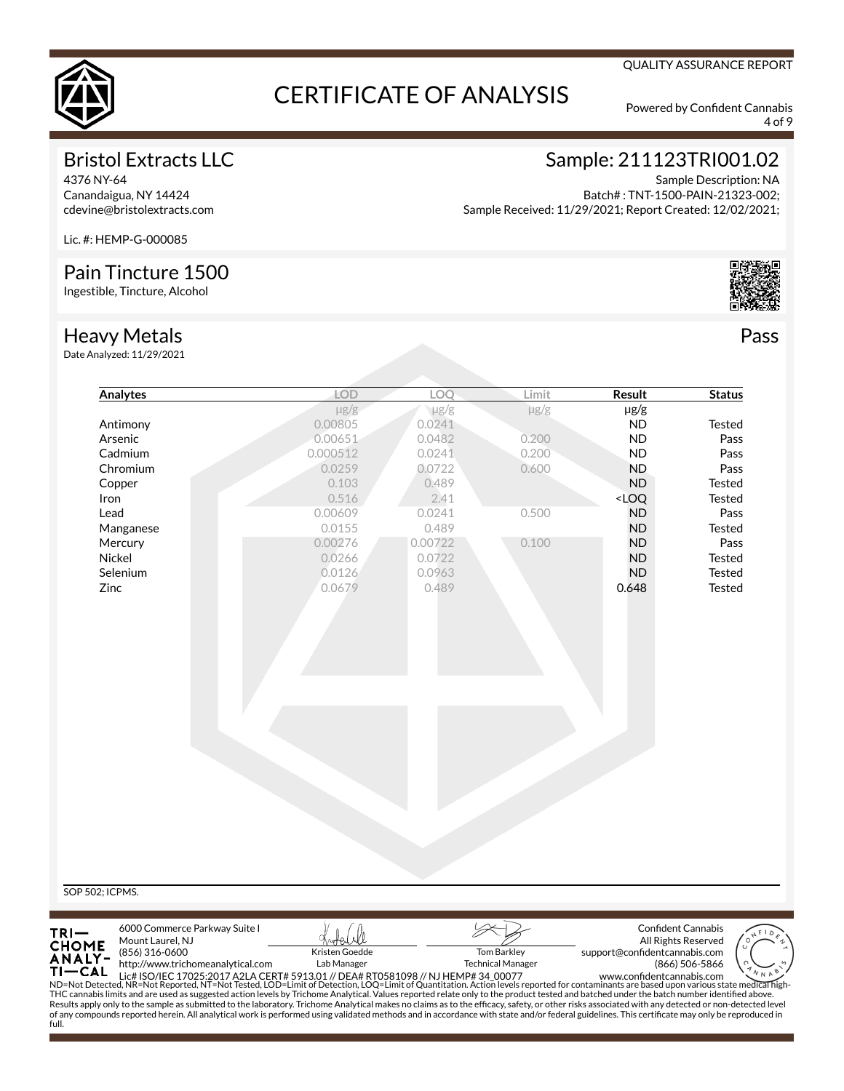

4 of 9

QUALITY ASSURANCE REPORT

## Bristol Extracts LLC

4376 NY-64 Canandaigua, NY 14424 cdevine@bristolextracts.com Sample: 211123TRI001.02

Sample Description: NA Batch# : TNT-1500-PAIN-21323-002; Sample Received: 11/29/2021; Report Created: 12/02/2021;

Lic. #: HEMP-G-000085

## Pain Tincture 1500

Ingestible, Tincture, Alcohol

### Heavy Metals

Date Analyzed: 11/29/2021



|                                                           | Analytes                                                                                                                                                                                                                                                                                                                                                                                                                                                                                                                                                                                                                           |             | LOD            | LOO                      | Limit<br>Result                                    | <b>Status</b>                 |               |
|-----------------------------------------------------------|------------------------------------------------------------------------------------------------------------------------------------------------------------------------------------------------------------------------------------------------------------------------------------------------------------------------------------------------------------------------------------------------------------------------------------------------------------------------------------------------------------------------------------------------------------------------------------------------------------------------------------|-------------|----------------|--------------------------|----------------------------------------------------|-------------------------------|---------------|
|                                                           |                                                                                                                                                                                                                                                                                                                                                                                                                                                                                                                                                                                                                                    |             | $\mu$ g/g      | $\mu$ g/g                | $\mu$ g/g                                          | $\mu$ g/g                     |               |
|                                                           | Antimony                                                                                                                                                                                                                                                                                                                                                                                                                                                                                                                                                                                                                           | 0.00805     |                | 0.0241                   |                                                    | <b>ND</b>                     | <b>Tested</b> |
|                                                           | Arsenic                                                                                                                                                                                                                                                                                                                                                                                                                                                                                                                                                                                                                            | 0.00651     |                | 0.0482                   | 0.200                                              | <b>ND</b>                     | Pass          |
|                                                           | Cadmium                                                                                                                                                                                                                                                                                                                                                                                                                                                                                                                                                                                                                            | 0.000512    |                | 0.0241                   | 0.200                                              | <b>ND</b>                     | Pass          |
|                                                           | Chromium                                                                                                                                                                                                                                                                                                                                                                                                                                                                                                                                                                                                                           | 0.0259      |                | 0.0722                   | 0.600                                              | <b>ND</b>                     | Pass          |
|                                                           | Copper                                                                                                                                                                                                                                                                                                                                                                                                                                                                                                                                                                                                                             |             | 0.103          | 0.489                    |                                                    | <b>ND</b>                     | <b>Tested</b> |
| Iron                                                      |                                                                                                                                                                                                                                                                                                                                                                                                                                                                                                                                                                                                                                    |             | 0.516          | 2.41                     | <loq< td=""><td></td><td><b>Tested</b></td></loq<> |                               | <b>Tested</b> |
| Lead                                                      |                                                                                                                                                                                                                                                                                                                                                                                                                                                                                                                                                                                                                                    | 0.00609     |                | 0.0241                   | 0.500                                              | <b>ND</b>                     | Pass          |
|                                                           | Manganese                                                                                                                                                                                                                                                                                                                                                                                                                                                                                                                                                                                                                          | 0.0155      |                | 0.489                    |                                                    | <b>ND</b>                     | Tested        |
|                                                           | Mercury                                                                                                                                                                                                                                                                                                                                                                                                                                                                                                                                                                                                                            | 0.00276     |                | 0.00722                  | 0.100                                              | <b>ND</b>                     | Pass          |
| Nickel                                                    |                                                                                                                                                                                                                                                                                                                                                                                                                                                                                                                                                                                                                                    | 0.0266      |                | 0.0722                   |                                                    | <b>ND</b>                     | Tested        |
|                                                           | Selenium                                                                                                                                                                                                                                                                                                                                                                                                                                                                                                                                                                                                                           | 0.0126      |                | 0.0963                   |                                                    | <b>ND</b>                     | Tested        |
| Zinc                                                      |                                                                                                                                                                                                                                                                                                                                                                                                                                                                                                                                                                                                                                    | 0.0679      |                | 0.489                    | 0.648                                              |                               | Tested        |
|                                                           |                                                                                                                                                                                                                                                                                                                                                                                                                                                                                                                                                                                                                                    |             |                |                          |                                                    |                               |               |
|                                                           |                                                                                                                                                                                                                                                                                                                                                                                                                                                                                                                                                                                                                                    |             |                |                          |                                                    |                               |               |
|                                                           |                                                                                                                                                                                                                                                                                                                                                                                                                                                                                                                                                                                                                                    |             |                |                          |                                                    |                               |               |
|                                                           |                                                                                                                                                                                                                                                                                                                                                                                                                                                                                                                                                                                                                                    |             |                |                          |                                                    |                               |               |
|                                                           |                                                                                                                                                                                                                                                                                                                                                                                                                                                                                                                                                                                                                                    |             |                |                          |                                                    |                               |               |
|                                                           |                                                                                                                                                                                                                                                                                                                                                                                                                                                                                                                                                                                                                                    |             |                |                          |                                                    |                               |               |
|                                                           |                                                                                                                                                                                                                                                                                                                                                                                                                                                                                                                                                                                                                                    |             |                |                          |                                                    |                               |               |
|                                                           |                                                                                                                                                                                                                                                                                                                                                                                                                                                                                                                                                                                                                                    |             |                |                          |                                                    |                               |               |
|                                                           |                                                                                                                                                                                                                                                                                                                                                                                                                                                                                                                                                                                                                                    |             |                |                          |                                                    |                               |               |
|                                                           |                                                                                                                                                                                                                                                                                                                                                                                                                                                                                                                                                                                                                                    |             |                |                          |                                                    |                               |               |
|                                                           |                                                                                                                                                                                                                                                                                                                                                                                                                                                                                                                                                                                                                                    |             |                |                          |                                                    |                               |               |
|                                                           |                                                                                                                                                                                                                                                                                                                                                                                                                                                                                                                                                                                                                                    |             |                |                          |                                                    |                               |               |
|                                                           |                                                                                                                                                                                                                                                                                                                                                                                                                                                                                                                                                                                                                                    |             |                |                          |                                                    |                               |               |
|                                                           |                                                                                                                                                                                                                                                                                                                                                                                                                                                                                                                                                                                                                                    |             |                |                          |                                                    |                               |               |
|                                                           |                                                                                                                                                                                                                                                                                                                                                                                                                                                                                                                                                                                                                                    |             |                |                          |                                                    |                               |               |
|                                                           |                                                                                                                                                                                                                                                                                                                                                                                                                                                                                                                                                                                                                                    |             |                |                          |                                                    |                               |               |
|                                                           |                                                                                                                                                                                                                                                                                                                                                                                                                                                                                                                                                                                                                                    |             |                |                          |                                                    |                               |               |
|                                                           |                                                                                                                                                                                                                                                                                                                                                                                                                                                                                                                                                                                                                                    |             |                |                          |                                                    |                               |               |
|                                                           |                                                                                                                                                                                                                                                                                                                                                                                                                                                                                                                                                                                                                                    |             |                |                          |                                                    |                               |               |
|                                                           |                                                                                                                                                                                                                                                                                                                                                                                                                                                                                                                                                                                                                                    |             |                |                          |                                                    |                               |               |
|                                                           |                                                                                                                                                                                                                                                                                                                                                                                                                                                                                                                                                                                                                                    |             |                |                          |                                                    |                               |               |
|                                                           |                                                                                                                                                                                                                                                                                                                                                                                                                                                                                                                                                                                                                                    |             |                |                          |                                                    |                               |               |
|                                                           |                                                                                                                                                                                                                                                                                                                                                                                                                                                                                                                                                                                                                                    |             |                |                          |                                                    |                               |               |
|                                                           | 6000 Commerce Parkway Suite I                                                                                                                                                                                                                                                                                                                                                                                                                                                                                                                                                                                                      |             |                |                          |                                                    | <b>Confident Cannabis</b>     |               |
|                                                           | Mount Laurel, NJ                                                                                                                                                                                                                                                                                                                                                                                                                                                                                                                                                                                                                   |             |                |                          |                                                    | All Rights Reserved           |               |
|                                                           | (856) 316-0600                                                                                                                                                                                                                                                                                                                                                                                                                                                                                                                                                                                                                     |             | Kristen Goedde | <b>Tom Barkley</b>       |                                                    | support@confidentcannabis.com |               |
|                                                           | http://www.trichomeanalytical.com                                                                                                                                                                                                                                                                                                                                                                                                                                                                                                                                                                                                  | Lab Manager |                | <b>Technical Manager</b> |                                                    | (866) 506-5866                |               |
|                                                           |                                                                                                                                                                                                                                                                                                                                                                                                                                                                                                                                                                                                                                    |             |                |                          |                                                    |                               |               |
| SOP 502; ICPMS.<br>$TRI -$<br>CHOME<br>ANALY-<br>$TI-CAL$ | 11 CAL Lic# ISO/IEC 17025:2017 A2LA CERT# 5913.01 // DEA# RT0581098 // NJ HEMP# 34 00077 www.confidentcannabis.com www.confidentcannabis.com ND=Not Detected, NR=Not Reported, NT=Not Tested, LOD=Limit of Detection, LOQ=Limi<br>THC cannabis limits and are used as suggested action levels by Trichome Analytical. Values reported relate only to the product tested and batched under the batch number identified above.<br>Results apply only to the sample as submitted to the laboratory. Trichome Analytical makes no claims as to the efficacy, safety, or other risks associated with any detected or non-detected level |             |                |                          |                                                    |                               |               |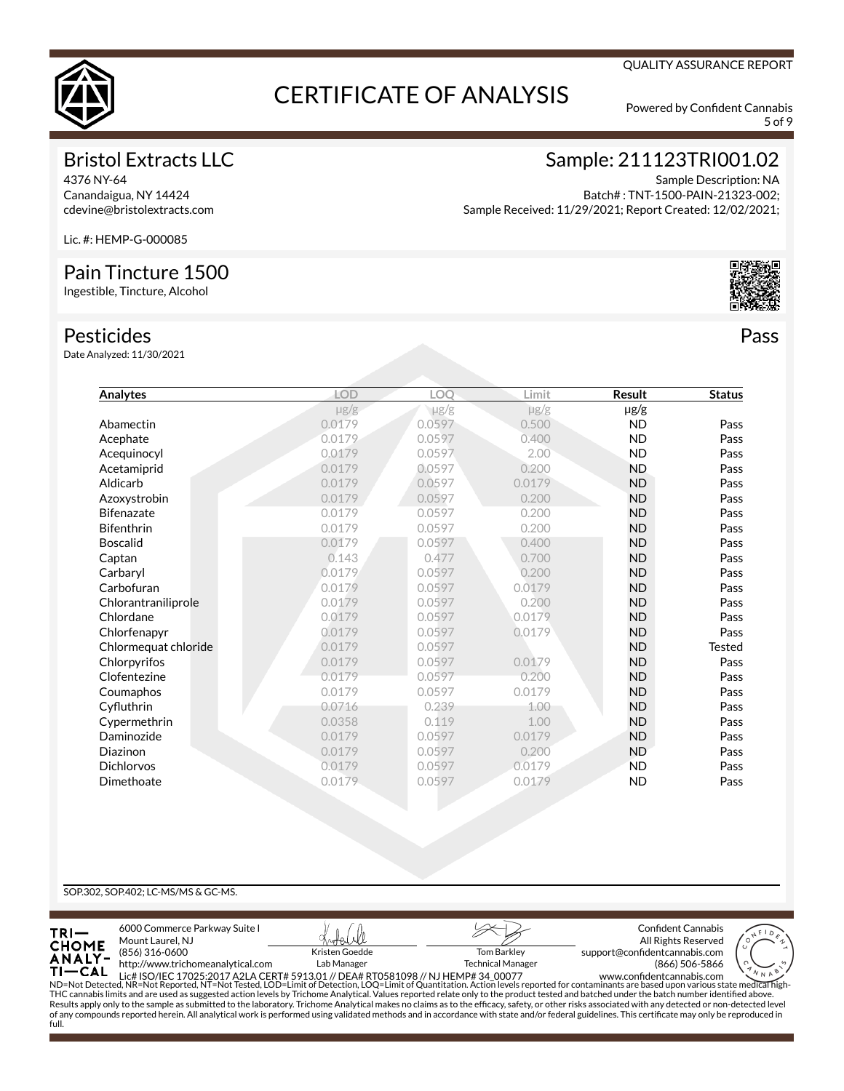

5 of 9

### Bristol Extracts LLC

4376 NY-64 Canandaigua, NY 14424 cdevine@bristolextracts.com Sample: 211123TRI001.02

Sample Description: NA Batch# : TNT-1500-PAIN-21323-002; Sample Received: 11/29/2021; Report Created: 12/02/2021;

Lic. #: HEMP-G-000085

### Pain Tincture 1500

Ingestible, Tincture, Alcohol

#### Pesticides

Date Analyzed: 11/30/2021

| Analytes             | <b>LOD</b> | LOQ       | Limit     | <b>Result</b> | <b>Status</b> |
|----------------------|------------|-----------|-----------|---------------|---------------|
|                      | $\mu$ g/g  | $\mu$ g/g | $\mu$ g/g | µg/g          |               |
| Abamectin            | 0.0179     | 0.0597    | 0.500     | <b>ND</b>     | Pass          |
| Acephate             | 0.0179     | 0.0597    | 0.400     | <b>ND</b>     | Pass          |
| Acequinocyl          | 0.0179     | 0.0597    | 2.00      | <b>ND</b>     | Pass          |
| Acetamiprid          | 0.0179     | 0.0597    | 0.200     | <b>ND</b>     | Pass          |
| Aldicarb             | 0.0179     | 0.0597    | 0.0179    | <b>ND</b>     | Pass          |
| Azoxystrobin         | 0.0179     | 0.0597    | 0.200     | <b>ND</b>     | Pass          |
| <b>Bifenazate</b>    | 0.0179     | 0.0597    | 0.200     | <b>ND</b>     | Pass          |
| <b>Bifenthrin</b>    | 0.0179     | 0.0597    | 0.200     | <b>ND</b>     | Pass          |
| <b>Boscalid</b>      | 0.0179     | 0.0597    | 0.400     | <b>ND</b>     | Pass          |
| Captan               | 0.143      | 0.477     | 0.700     | <b>ND</b>     | Pass          |
| Carbaryl             | 0.0179     | 0.0597    | 0.200     | <b>ND</b>     | Pass          |
| Carbofuran           | 0.0179     | 0.0597    | 0.0179    | <b>ND</b>     | Pass          |
| Chlorantraniliprole  | 0.0179     | 0.0597    | 0.200     | <b>ND</b>     | Pass          |
| Chlordane            | 0.0179     | 0.0597    | 0.0179    | <b>ND</b>     | Pass          |
| Chlorfenapyr         | 0.0179     | 0.0597    | 0.0179    | <b>ND</b>     | Pass          |
| Chlormequat chloride | 0.0179     | 0.0597    |           | <b>ND</b>     | <b>Tested</b> |
| Chlorpyrifos         | 0.0179     | 0.0597    | 0.0179    | <b>ND</b>     | Pass          |
| Clofentezine         | 0.0179     | 0.0597    | 0.200     | <b>ND</b>     | Pass          |
| Coumaphos            | 0.0179     | 0.0597    | 0.0179    | <b>ND</b>     | Pass          |
| Cyfluthrin           | 0.0716     | 0.239     | 1.00      | <b>ND</b>     | Pass          |
| Cypermethrin         | 0.0358     | 0.119     | 1.00      | <b>ND</b>     | Pass          |
| Daminozide           | 0.0179     | 0.0597    | 0.0179    | <b>ND</b>     | Pass          |
| Diazinon             | 0.0179     | 0.0597    | 0.200     | <b>ND</b>     | Pass          |
| <b>Dichlorvos</b>    | 0.0179     | 0.0597    | 0.0179    | <b>ND</b>     | Pass          |
| Dimethoate           | 0.0179     | 0.0597    | 0.0179    | <b>ND</b>     | Pass          |
|                      |            |           |           |               |               |

#### SOP.302, SOP.402; LC-MS/MS & GC-MS.

full.









QUALITY ASSURANCE REPORT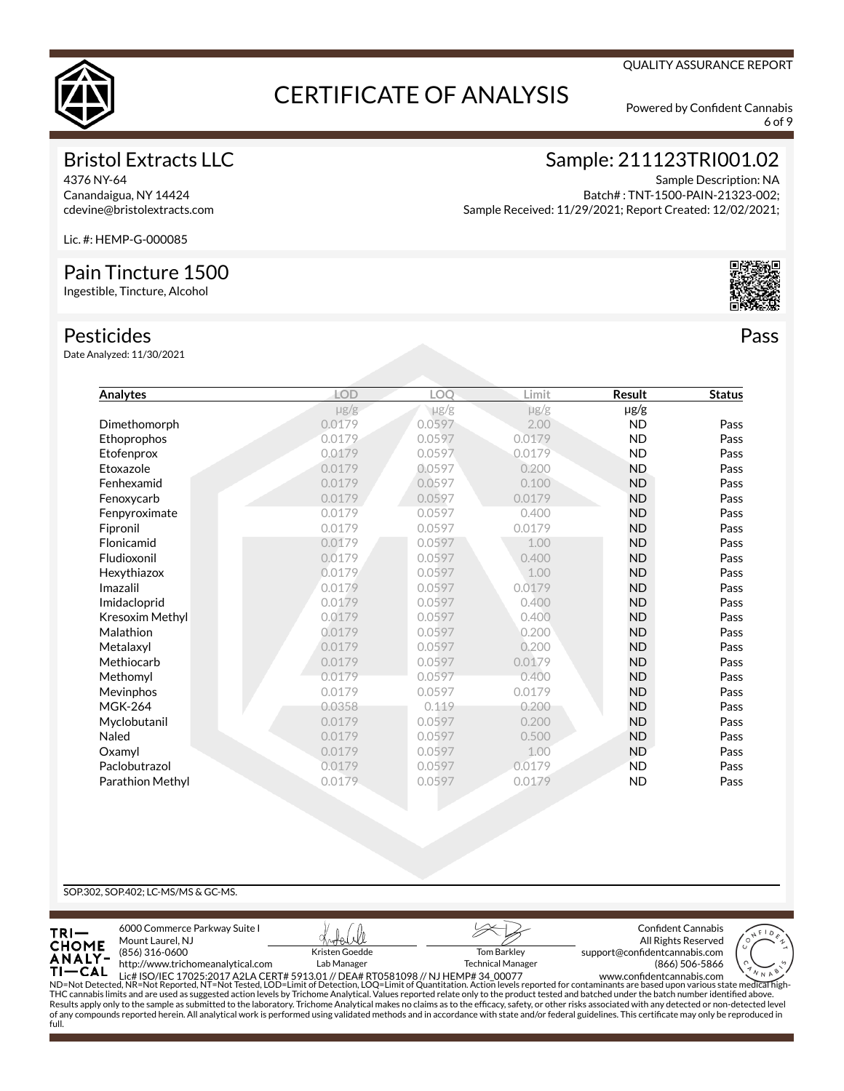

6 of 9

QUALITY ASSURANCE REPORT

### Bristol Extracts LLC

4376 NY-64 Canandaigua, NY 14424 cdevine@bristolextracts.com Sample: 211123TRI001.02

Sample Description: NA Batch# : TNT-1500-PAIN-21323-002; Sample Received: 11/29/2021; Report Created: 12/02/2021;

Lic. #: HEMP-G-000085

### Pain Tincture 1500

Ingestible, Tincture, Alcohol

#### Pesticides

Date Analyzed: 11/30/2021

| Analytes         | <b>LOD</b> | LOO       | Limit     | Result    | <b>Status</b> |
|------------------|------------|-----------|-----------|-----------|---------------|
|                  | $\mu$ g/g  | $\mu$ g/g | $\mu$ g/g | $\mu$ g/g |               |
| Dimethomorph     | 0.0179     | 0.0597    | 2.00      | <b>ND</b> | Pass          |
| Ethoprophos      | 0.0179     | 0.0597    | 0.0179    | <b>ND</b> | Pass          |
| Etofenprox       | 0.0179     | 0.0597    | 0.0179    | <b>ND</b> | Pass          |
| Etoxazole        | 0.0179     | 0.0597    | 0.200     | <b>ND</b> | Pass          |
| Fenhexamid       | 0.0179     | 0.0597    | 0.100     | <b>ND</b> | Pass          |
| Fenoxycarb       | 0.0179     | 0.0597    | 0.0179    | <b>ND</b> | Pass          |
| Fenpyroximate    | 0.0179     | 0.0597    | 0.400     | <b>ND</b> | Pass          |
| Fipronil         | 0.0179     | 0.0597    | 0.0179    | <b>ND</b> | Pass          |
| Flonicamid       | 0.0179     | 0.0597    | 1.00      | <b>ND</b> | Pass          |
| Fludioxonil      | 0.0179     | 0.0597    | 0.400     | <b>ND</b> | Pass          |
| Hexythiazox      | 0.0179     | 0.0597    | 1.00      | <b>ND</b> | Pass          |
| Imazalil         | 0.0179     | 0.0597    | 0.0179    | <b>ND</b> | Pass          |
| Imidacloprid     | 0.0179     | 0.0597    | 0.400     | <b>ND</b> | Pass          |
| Kresoxim Methyl  | 0.0179     | 0.0597    | 0.400     | <b>ND</b> | Pass          |
| Malathion        | 0.0179     | 0.0597    | 0.200     | <b>ND</b> | Pass          |
| Metalaxyl        | 0.0179     | 0.0597    | 0.200     | <b>ND</b> | Pass          |
| Methiocarb       | 0.0179     | 0.0597    | 0.0179    | <b>ND</b> | Pass          |
| Methomyl         | 0.0179     | 0.0597    | 0.400     | <b>ND</b> | Pass          |
| Mevinphos        | 0.0179     | 0.0597    | 0.0179    | <b>ND</b> | Pass          |
| <b>MGK-264</b>   | 0.0358     | 0.119     | 0.200     | <b>ND</b> | Pass          |
| Myclobutanil     | 0.0179     | 0.0597    | 0.200     | <b>ND</b> | Pass          |
| Naled            | 0.0179     | 0.0597    | 0.500     | <b>ND</b> | Pass          |
| Oxamyl           | 0.0179     | 0.0597    | 1.00      | <b>ND</b> | Pass          |
| Paclobutrazol    | 0.0179     | 0.0597    | 0.0179    | <b>ND</b> | Pass          |
| Parathion Methyl | 0.0179     | 0.0597    | 0.0179    | <b>ND</b> | Pass          |
|                  |            |           |           |           |               |

#### SOP.302, SOP.402; LC-MS/MS & GC-MS.

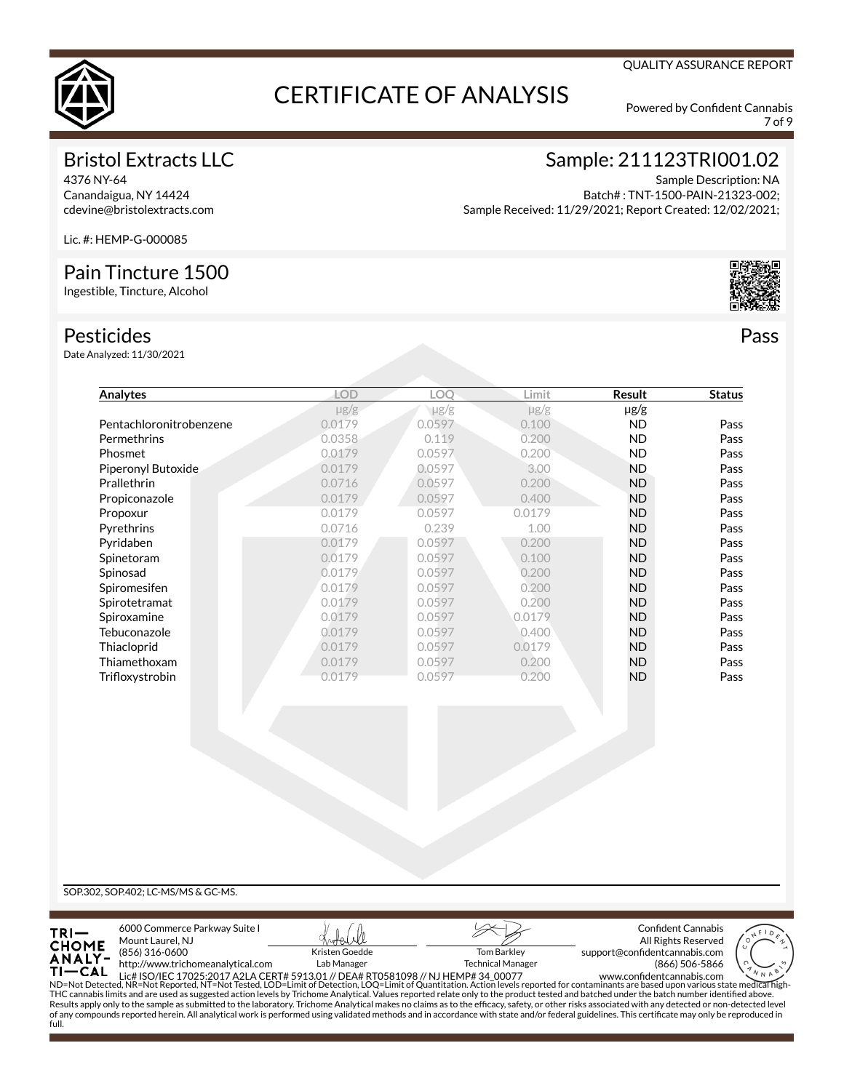

7 of 9

QUALITY ASSURANCE REPORT

## Bristol Extracts LLC

4376 NY-64 Canandaigua, NY 14424 cdevine@bristolextracts.com Sample: 211123TRI001.02

Sample Description: NA Batch# : TNT-1500-PAIN-21323-002; Sample Received: 11/29/2021; Report Created: 12/02/2021;

Lic. #: HEMP-G-000085

### Pain Tincture 1500

Ingestible, Tincture, Alcohol

### Pesticides

Date Analyzed: 11/30/2021

| Analytes                | LOD       | LOO       | Limit     | Result    | <b>Status</b> |
|-------------------------|-----------|-----------|-----------|-----------|---------------|
|                         | $\mu$ g/g | $\mu$ g/g | $\mu$ g/g | $\mu$ g/g |               |
| Pentachloronitrobenzene | 0.0179    | 0.0597    | 0.100     | ND.       | Pass          |
| Permethrins             | 0.0358    | 0.119     | 0.200     | <b>ND</b> | Pass          |
| Phosmet                 | 0.0179    | 0.0597    | 0.200     | <b>ND</b> | Pass          |
| Piperonyl Butoxide      | 0.0179    | 0.0597    | 3.00      | <b>ND</b> | Pass          |
| Prallethrin             | 0.0716    | 0.0597    | 0.200     | <b>ND</b> | Pass          |
| Propiconazole           | 0.0179    | 0.0597    | 0.400     | <b>ND</b> | Pass          |
| Propoxur                | 0.0179    | 0.0597    | 0.0179    | <b>ND</b> | Pass          |
| Pyrethrins              | 0.0716    | 0.239     | 1.00      | <b>ND</b> | Pass          |
| Pyridaben               | 0.0179    | 0.0597    | 0.200     | <b>ND</b> | Pass          |
| Spinetoram              | 0.0179    | 0.0597    | 0.100     | <b>ND</b> | Pass          |
| Spinosad                | 0.0179    | 0.0597    | 0.200     | <b>ND</b> | Pass          |
| Spiromesifen            | 0.0179    | 0.0597    | 0.200     | <b>ND</b> | Pass          |
| Spirotetramat           | 0.0179    | 0.0597    | 0.200     | <b>ND</b> | Pass          |
| Spiroxamine             | 0.0179    | 0.0597    | 0.0179    | <b>ND</b> | Pass          |
| Tebuconazole            | 0.0179    | 0.0597    | 0.400     | <b>ND</b> | Pass          |
| Thiacloprid             | 0.0179    | 0.0597    | 0.0179    | <b>ND</b> | Pass          |
| Thiamethoxam            | 0.0179    | 0.0597    | 0.200     | <b>ND</b> | Pass          |
| Trifloxystrobin         | 0.0179    | 0.0597    | 0.200     | <b>ND</b> | Pass          |

SOP.302, SOP.402; LC-MS/MS & GC-MS.

full.

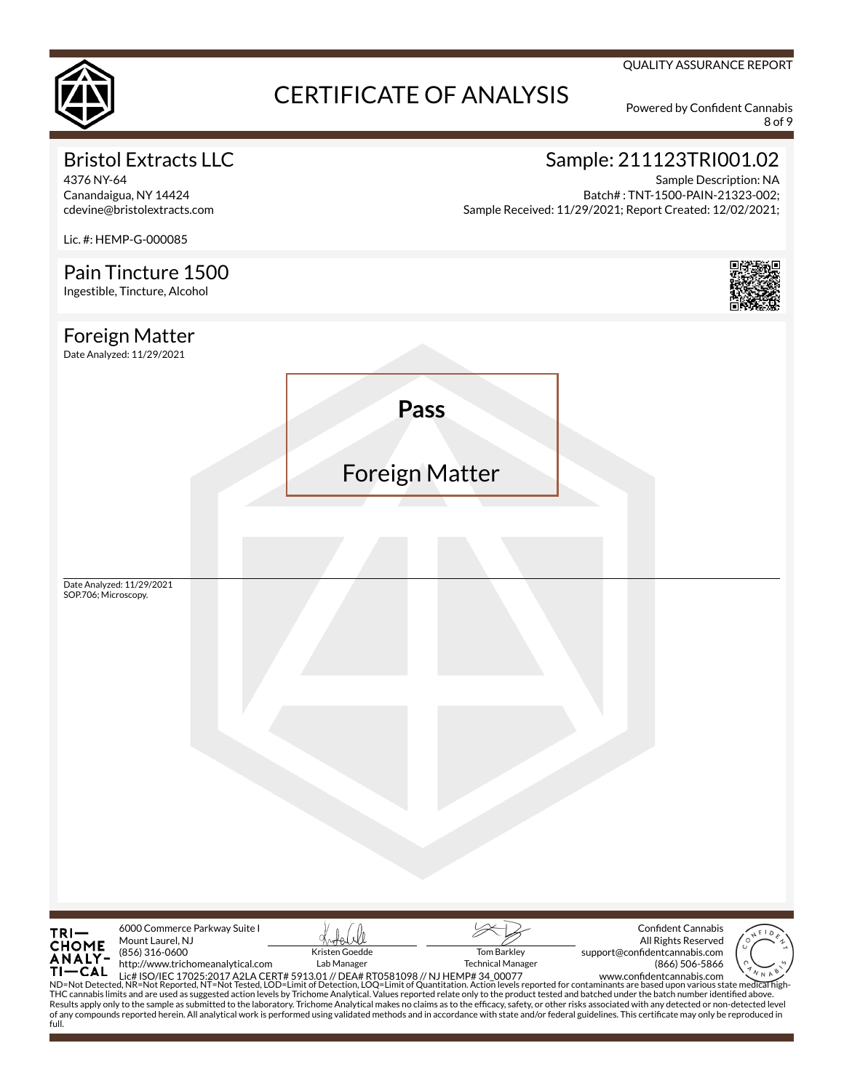

8 of 9

QUALITY ASSURANCE REPORT

## Bristol Extracts LLC

4376 NY-64 Canandaigua, NY 14424 cdevine@bristolextracts.com

Lic. #: HEMP-G-000085

## Sample: 211123TRI001.02

Sample Description: NA Batch# : TNT-1500-PAIN-21323-002; Sample Received: 11/29/2021; Report Created: 12/02/2021;

Pain Tincture 1500 Ingestible, Tincture, Alcohol Foreign Matter Date Analyzed: 11/29/2021 **Pass** Foreign Matter Date Analyzed: 11/29/2021 SOP.706; Microscopy.